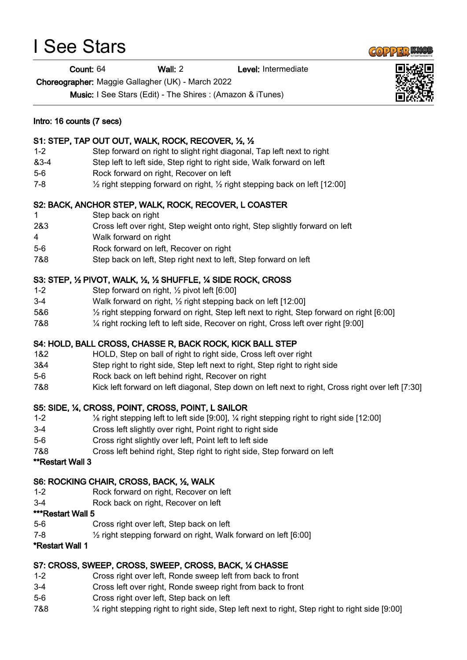# I See Stars

Count: 64 Wall: 2 Level: Intermediate

Choreographer: Maggie Gallagher (UK) - March 2022

Music: I See Stars (Edit) - The Shires : (Amazon & iTunes)

#### Intro: 16 counts (7 secs)

## S1: STEP, TAP OUT OUT, WALK, ROCK, RECOVER, ½, ½

- 1-2 Step forward on right to slight right diagonal, Tap left next to right
- &3-4 Step left to left side, Step right to right side, Walk forward on left
- 5-6 Rock forward on right, Recover on left
- 7-8 ½ right stepping forward on right, ½ right stepping back on left [12:00]

## S2: BACK, ANCHOR STEP, WALK, ROCK, RECOVER, L COASTER

- 1 Step back on right
- 2&3 Cross left over right, Step weight onto right, Step slightly forward on left
- 4 Walk forward on right
- 5-6 Rock forward on left, Recover on right
- 7&8 Step back on left, Step right next to left, Step forward on left

## S3: STEP, ½ PIVOT, WALK, ½, ½ SHUFFLE, ¼ SIDE ROCK, CROSS

- 1-2 Step forward on right, ½ pivot left [6:00]
- 3-4 Walk forward on right, ½ right stepping back on left [12:00]
- 5&6 ½ right stepping forward on right, Step left next to right, Step forward on right [6:00]
- 7&8 ¼ right rocking left to left side, Recover on right, Cross left over right [9:00]

## S4: HOLD, BALL CROSS, CHASSE R, BACK ROCK, KICK BALL STEP

- 1&2 HOLD, Step on ball of right to right side, Cross left over right
- 3&4 Step right to right side, Step left next to right, Step right to right side
- 5-6 Rock back on left behind right, Recover on right
- 7&8 Kick left forward on left diagonal, Step down on left next to right, Cross right over left [7:30]

## S5: SIDE, ¼, CROSS, POINT, CROSS, POINT, L SAILOR

- 1-2 ⅛ right stepping left to left side [9:00], ¼ right stepping right to right side [12:00]
- 3-4 Cross left slightly over right, Point right to right side
- 5-6 Cross right slightly over left, Point left to left side
- 7&8 Cross left behind right, Step right to right side, Step forward on left

#### \*\*Restart Wall 3

#### S6: ROCKING CHAIR, CROSS, BACK, ½, WALK

- 1-2 Rock forward on right, Recover on left
- 3-4 Rock back on right, Recover on left

#### \*\*\*Restart Wall 5

- 5-6 Cross right over left, Step back on left
- 7-8 ½ right stepping forward on right, Walk forward on left [6:00]

#### \*Restart Wall 1

## S7: CROSS, SWEEP, CROSS, SWEEP, CROSS, BACK, ¼ CHASSE

- 1-2 Cross right over left, Ronde sweep left from back to front
- 3-4 Cross left over right, Ronde sweep right from back to front
- 5-6 Cross right over left, Step back on left
- 7&8 ¼ right stepping right to right side, Step left next to right, Step right to right side [9:00]